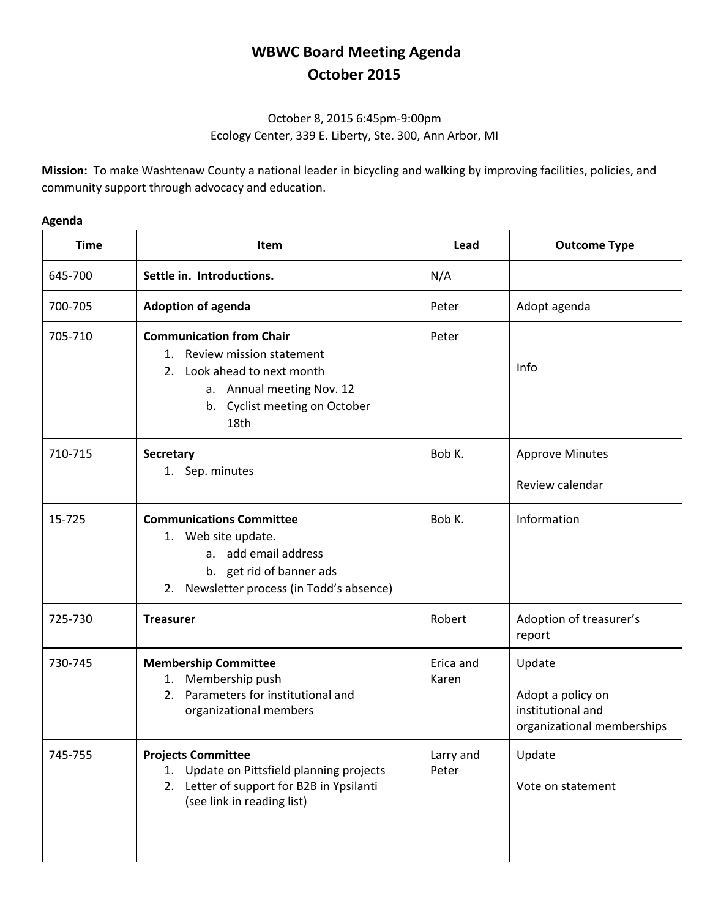## **WBWC Board Meeting Agenda October 2015**

## October 8, 2015 6:45pm-9:00pm Ecology Center, 339 E. Liberty, Ste. 300, Ann Arbor, MI

**Mission:** To make Washtenaw County a national leader in bicycling and walking by improving facilities, policies, and community support through advocacy and education.

## **Agenda**

| <b>Time</b> | Item                                                                                                                                                                      | Lead               | <b>Outcome Type</b>                                                            |
|-------------|---------------------------------------------------------------------------------------------------------------------------------------------------------------------------|--------------------|--------------------------------------------------------------------------------|
| 645-700     | Settle in. Introductions.                                                                                                                                                 | N/A                |                                                                                |
| 700-705     | <b>Adoption of agenda</b>                                                                                                                                                 | Peter              | Adopt agenda                                                                   |
| 705-710     | <b>Communication from Chair</b><br>Review mission statement<br>1.<br>Look ahead to next month<br>2.<br>a. Annual meeting Nov. 12<br>b. Cyclist meeting on October<br>18th | Peter              | Info                                                                           |
| 710-715     | <b>Secretary</b><br>1. Sep. minutes                                                                                                                                       | Bob K.             | <b>Approve Minutes</b><br>Review calendar                                      |
| 15-725      | <b>Communications Committee</b><br>1. Web site update.<br>a. add email address<br>b. get rid of banner ads<br>Newsletter process (in Todd's absence)<br>2.                | Bob K.             | Information                                                                    |
| 725-730     | <b>Treasurer</b>                                                                                                                                                          | Robert             | Adoption of treasurer's<br>report                                              |
| 730-745     | <b>Membership Committee</b><br>Membership push<br>1.<br>Parameters for institutional and<br>2.<br>organizational members                                                  | Erica and<br>Karen | Update<br>Adopt a policy on<br>institutional and<br>organizational memberships |
| 745-755     | <b>Projects Committee</b><br>Update on Pittsfield planning projects<br>1.<br>2. Letter of support for B2B in Ypsilanti<br>(see link in reading list)                      | Larry and<br>Peter | Update<br>Vote on statement                                                    |